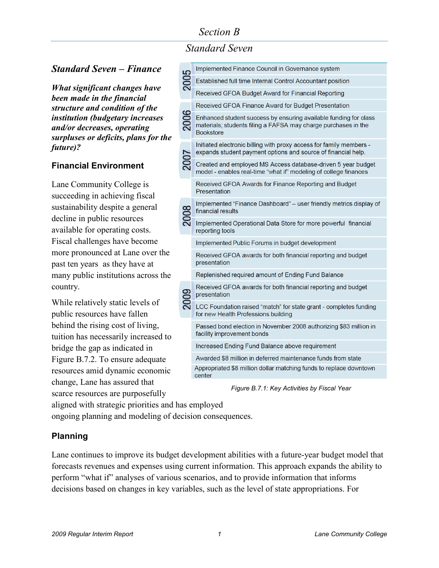# *Standard Seven*

### *Standard Seven – Finance*

*What significant changes have been made in the financial structure and condition of the institution (budgetary increases and/or decreases, operating surpluses or deficits, plans for the future)?*

#### **Financial Environment**

Lane Community College is succeeding in achieving fiscal sustainability despite a general decline in public resources available for operating costs. Fiscal challenges have become more pronounced at Lane over the past ten years as they have at many public institutions across the country.

While relatively static levels of public resources have fallen behind the rising cost of living, tuition has necessarily increased to bridge the gap as indicated in Figure B.7.2. To ensure adequate resources amid dynamic economic change, Lane has assured that scarce resources are purposefully

| 2005 | Implemented Finance Council in Governance system                                                                                                       |
|------|--------------------------------------------------------------------------------------------------------------------------------------------------------|
|      | Established full time Internal Control Accountant position                                                                                             |
|      | Received GFOA Budget Award for Financial Reporting                                                                                                     |
| 2006 | Received GFOA Finance Award for Budget Presentation                                                                                                    |
|      | Enhanced student success by ensuring available funding for class<br>materials; students filing a FAFSA may charge purchases in the<br><b>Bookstore</b> |
|      | Initiated electronic billing with proxy access for family members -<br>expands student payment options and source of financial help.                   |
|      | Created and employed MS Access database-driven 5 year budget<br>model - enables real-time "what if" modeling of college finances                       |
|      | Received GFOA Awards for Finance Reporting and Budget<br>Presentation                                                                                  |
|      | Implemented "Finance Dashboard" - user friendly metrics display of<br>financial results                                                                |
|      | Implemented Operational Data Store for more powerful financial<br>reporting tools                                                                      |
|      | Implemented Public Forums in budget development                                                                                                        |
|      | Received GFOA awards for both financial reporting and budget<br>presentation                                                                           |
|      | Replenished required amount of Ending Fund Balance                                                                                                     |
|      | Received GFOA awards for both financial reporting and budget<br>presentation                                                                           |
|      | LCC Foundation raised "match" for state grant - completes funding<br>for new Health Professions building                                               |
|      | Passed bond election in November 2008 authorizing \$83 million in<br>facility improvement bonds                                                        |
|      | Increased Ending Fund Balance above requirement                                                                                                        |
|      | Awarded \$8 million in deferred maintenance funds from state                                                                                           |
|      | Appropriated \$8 million dollar matching funds to replace downtown<br><u>sontor</u>                                                                    |

*Figure B.7.1: Key Activities by Fiscal Year*

aligned with strategic priorities and has employed ongoing planning and modeling of decision consequences.

#### **Planning**

Lane continues to improve its budget development abilities with a future-year budget model that forecasts revenues and expenses using current information. This approach expands the ability to perform "what if" analyses of various scenarios, and to provide information that informs decisions based on changes in key variables, such as the level of state appropriations. For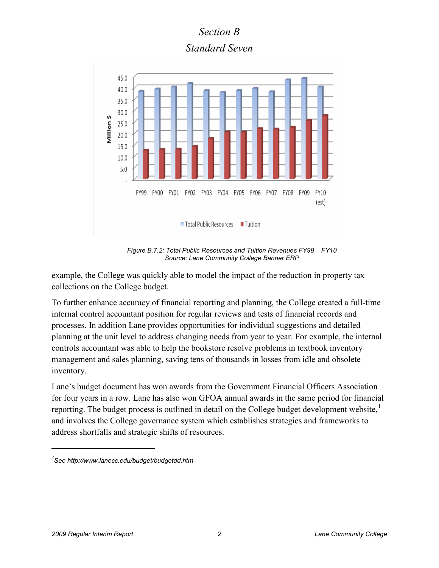*Standard Seven*



*Figure B.7.2: Total Public Resources and Tuition Revenues FY99 – FY10 Source: Lane Community College Banner ERP*

example, the College was quickly able to model the impact of the reduction in property tax collections on the College budget.

To further enhance accuracy of financial reporting and planning, the College created a full-time internal control accountant position for regular reviews and tests of financial records and processes. In addition Lane provides opportunities for individual suggestions and detailed planning at the unit level to address changing needs from year to year. For example, the internal controls accountant was able to help the bookstore resolve problems in textbook inventory management and sales planning, saving tens of thousands in losses from idle and obsolete inventory.

Lane's budget document has won awards from the Government Financial Officers Association for four years in a row. Lane has also won GFOA annual awards in the same period for financial reporting. The budget process is outlined in detail on the College budget development website,<sup>[1](#page-1-0)</sup> and involves the College governance system which establishes strategies and frameworks to address shortfalls and strategic shifts of resources.

 $\overline{a}$ 

<span id="page-1-0"></span>*<sup>1</sup> See <http://www.lanecc.edu/budget/budgetdd.htm>*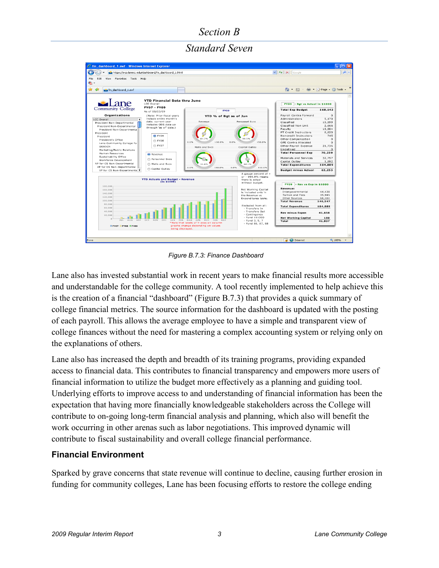*Standard Seven*



*Figure B.7.3: Finance Dashboard*

Lane also has invested substantial work in recent years to make financial results more accessible and understandable for the college community. A tool recently implemented to help achieve this is the creation of a financial "dashboard" (Figure B.7.3) that provides a quick summary of college financial metrics. The source information for the dashboard is updated with the posting of each payroll. This allows the average employee to have a simple and transparent view of college finances without the need for mastering a complex accounting system or relying only on the explanations of others.

Lane also has increased the depth and breadth of its training programs, providing expanded access to financial data. This contributes to financial transparency and empowers more users of financial information to utilize the budget more effectively as a planning and guiding tool. Underlying efforts to improve access to and understanding of financial information has been the expectation that having more financially knowledgeable stakeholders across the College will contribute to on-going long-term financial analysis and planning, which also will benefit the work occurring in other arenas such as labor negotiations. This improved dynamic will contribute to fiscal sustainability and overall college financial performance.

#### **Financial Environment**

Sparked by grave concerns that state revenue will continue to decline, causing further erosion in funding for community colleges, Lane has been focusing efforts to restore the college ending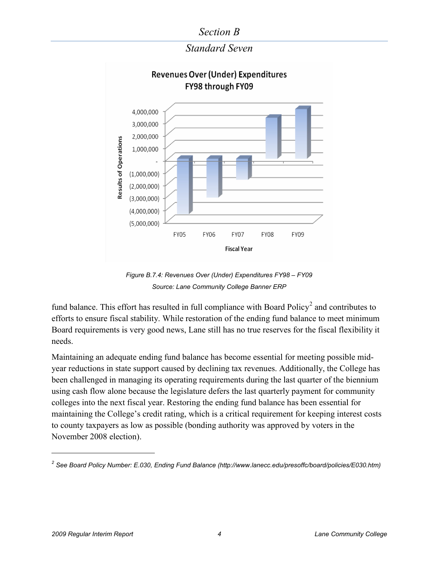

*Standard Seven*

*Figure B.7.4: Revenues Over (Under) Expenditures FY98 – FY09 Source: Lane Community College Banner ERP*

fund balance. This effort has resulted in full compliance with Board Policy<sup>[2](#page-3-0)</sup> and contributes to efforts to ensure fiscal stability. While restoration of the ending fund balance to meet minimum Board requirements is very good news, Lane still has no true reserves for the fiscal flexibility it needs.

Maintaining an adequate ending fund balance has become essential for meeting possible midyear reductions in state support caused by declining tax revenues. Additionally, the College has been challenged in managing its operating requirements during the last quarter of the biennium using cash flow alone because the legislature defers the last quarterly payment for community colleges into the next fiscal year. Restoring the ending fund balance has been essential for maintaining the College's credit rating, which is a critical requirement for keeping interest costs to county taxpayers as low as possible (bonding authority was approved by voters in the November 2008 election).

 $\overline{a}$ 

<span id="page-3-0"></span><sup>&</sup>lt;sup>2</sup> See Board Policy Number: E.030, Ending Fund Balance [\(http://www.lanecc.edu/presoffc/board/policies/E030.htm\)](http://www.lanecc.edu/presoffc/board/policies/E030.htm)